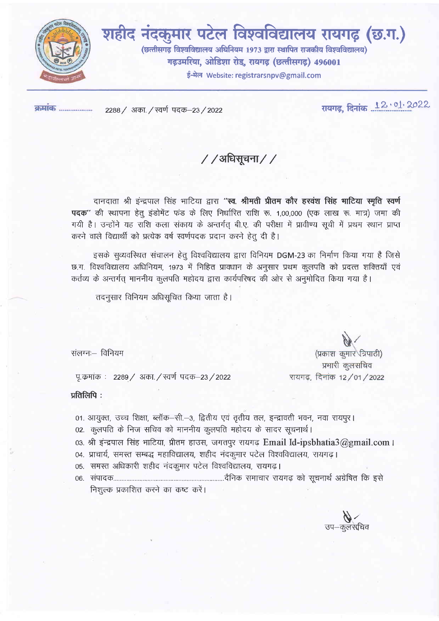

शहीद नंदकुमार पटेल विश्वविद्यालय रायगढ़ (छ.ग.) (छत्तीसगढ़ विश्वविद्यालय अधिनियम 1973 द्वारा स्थापित राजकीय विश्वविद्यालय) गढ़उमरिया, ओडिशा रोड, रायगढ़ (छत्तीसगढ़) 496001 ई-मेल Website: registrarsnpv@gmail.com

<u>क्रमार्क</u> .................

2288 / अका. / स्वर्ण पदक-23 / 2022

रायगढ़, दिनांक 12.01.2022

/ /अधिसूचना / /

दानदाता श्री इंन्द्रपाल सिंह भाटिया द्वारा "स्व. श्रीमती प्रीतम कौर हरवंश सिंह माटिया स्मृति स्वर्ण पदक'' की स्थापना हेतू इंडोमेंट फंड के लिए निर्धारित राशि रू. 1,00,000 (एक लाख रू. मात्र) जमा की गयी है। उन्होंने यह राशि कला संकाय के अन्तर्गत् बी.ए. की परीक्षा में प्रावीण्य सूची में प्रथम स्थान प्राप्त करने वाले विद्यार्थी को प्रत्येक वर्ष स्वर्णपदक प्रदान करने हेतू दी है।

इसके सव्यवस्थित संचालन हेत विश्वविद्यालय द्वारा विनियम DGM-23 का निर्माण किया गया है जिसे छ.ग. विश्वविद्यालय अधिनियम, 1973 में निहित प्रावधान के अनुसार प्रथम कुलपति को प्रदत्त शक्तियाँ एवं कर्तव्य के अन्तर्गत माननीय कुलपति महोदय द्वारा कार्यपरिषद की ओर से अनुमोदित किया गया है।

तदनुसार विनियम अधिसूचित किया जाता है।

संलग्नः विनियम

पू.कमांक : 2289 / अका. / स्वर्ण पदक–23 / 2022

प्रतिलिपि:

- 01. आयुक्त, उच्च शिक्षा, ब्लॉक–सी.–3, द्वितीय एवं तृतीय तल, इन्द्रावती भवन, नवा रायपूर।
- 02. कुलपति के निज सचिव को माननीय कुलपति महोदय के सादर सूचनार्थ।
- 03. श्री इंन्द्रपाल सिंह भाटिया, प्रीतम हाउस, जगतपुर रायगढ़ Email Id-ipsbhatia3@gmail.com ।
- 04. प्राचार्य, समस्त सम्बद्ध महाविद्यालय, शहीद नंदकुमार पटेल विश्वविद्यालय, रायगढ़।
- 05. समस्त अधिकारी शहीद नंदकुमार पटेल विश्वविद्यालय, रायगढ।
- निशुल्क प्रकाशित करने का कष्ट करें।

उप—कुलसंचिव

(प्रकाश कुमार ज़िपाठी) प्रभारी कुलसचिव रायगढ़, दिनांक 12/01/2022